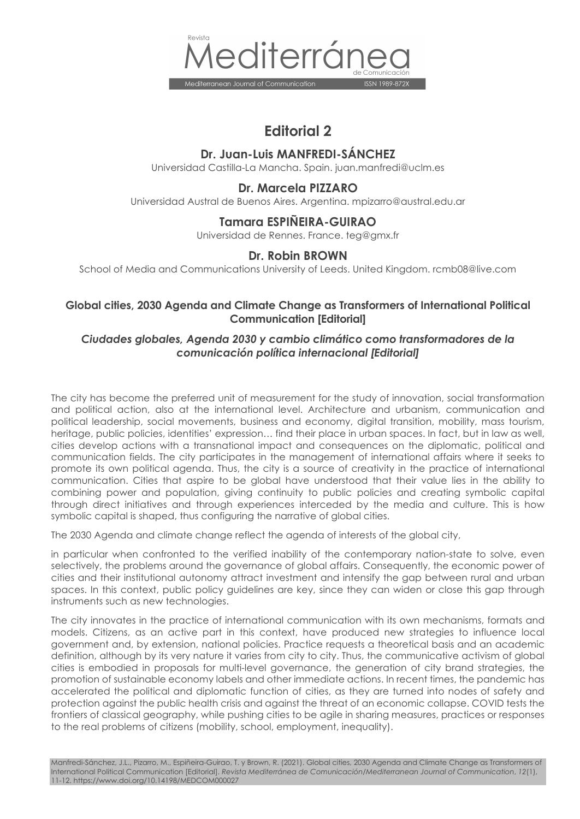

# **Editorial 2**

#### **Dr. Juan-Luis MANFREDI-SÁNCHEZ**

Universidad Castilla-La Mancha. Spain. juan.manfredi@uclm.es

## **Dr. Marcela PIZZARO**

Universidad Austral de Buenos Aires. Argentina. mpizarro@austral.edu.ar

#### **Tamara ESPIÑEIRA-GUIRAO**

Universidad de Rennes. France. teg@gmx.fr

## **Dr. Robin BROWN**

School of Media and Communications University of Leeds. United Kingdom. rcmb08@live.com

## **Global cities, 2030 Agenda and Climate Change as Transformers of International Political Communication [Editorial]**

## *Ciudades globales, Agenda 2030 y cambio climático como transformadores de la comunicación política internacional [Editorial]*

The city has become the preferred unit of measurement for the study of innovation, social transformation and political action, also at the international level. Architecture and urbanism, communication and political leadership, social movements, business and economy, digital transition, mobility, mass tourism, heritage, public policies, identities' expression… find their place in urban spaces. In fact, but in law as well, cities develop actions with a transnational impact and consequences on the diplomatic, political and communication fields. The city participates in the management of international affairs where it seeks to promote its own political agenda. Thus, the city is a source of creativity in the practice of international communication. Cities that aspire to be global have understood that their value lies in the ability to combining power and population, giving continuity to public policies and creating symbolic capital through direct initiatives and through experiences interceded by the media and culture. This is how symbolic capital is shaped, thus configuring the narrative of global cities.

The 2030 Agenda and climate change reflect the agenda of interests of the global city,

in particular when confronted to the verified inability of the contemporary nation-state to solve, even selectively, the problems around the governance of global affairs. Consequently, the economic power of cities and their institutional autonomy attract investment and intensify the gap between rural and urban spaces. In this context, public policy guidelines are key, since they can widen or close this gap through instruments such as new technologies.

The city innovates in the practice of international communication with its own mechanisms, formats and models. Citizens, as an active part in this context, have produced new strategies to influence local government and, by extension, national policies. Practice requests a theoretical basis and an academic definition, although by its very nature it varies from city to city. Thus, the communicative activism of global cities is embodied in proposals for multi-level governance, the generation of city brand strategies, the promotion of sustainable economy labels and other immediate actions. In recent times, the pandemic has accelerated the political and diplomatic function of cities, as they are turned into nodes of safety and protection against the public health crisis and against the threat of an economic collapse. COVID tests the frontiers of classical geography, while pushing cities to be agile in sharing measures, practices or responses to the real problems of citizens (mobility, school, employment, inequality).